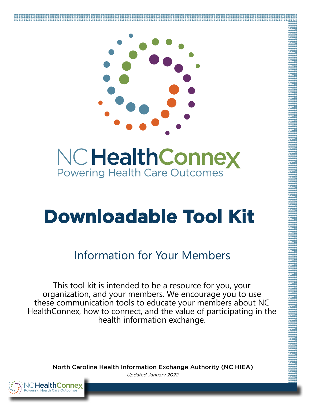



# **Downloadable Tool Kit**

### Information for Your Members

This tool kit is intended to be a resource for you, your organization, and your members. We encourage you to use these communication tools to educate your members about NC HealthConnex, how to connect, and the value of participating in the health information exchange.

> North Carolina Health Information Exchange Authority (NC HIEA) *Updated January 2022*

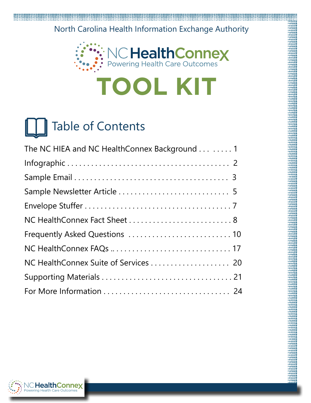North Carolina Health Information Exchange Authority





# Table of Contents

| The NC HIEA and NC HealthConnex Background 1 |
|----------------------------------------------|
|                                              |
|                                              |
|                                              |
|                                              |
| NC HealthConnex Fact Sheet  8                |
|                                              |
|                                              |
| NC HealthConnex Suite of Services 20         |
|                                              |
|                                              |

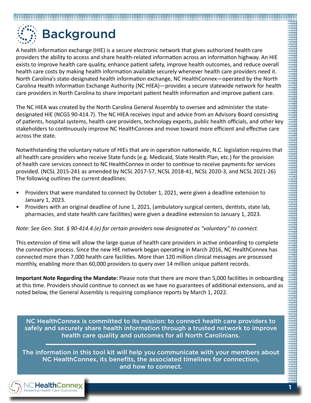

A health information exchange (HIE) is a secure electronic network that gives authorized health care providers the ability to access and share health-related information across an information highway. An HIE exists to improve health care quality, enhance patient safety, improve health outcomes, and reduce overall health care costs by making health information available securely whenever health care providers need it. North Carolina's state-designated health information exchange, NC HealthConnex—operated by the North Carolina Health Information Exchange Authority (NC HIEA)—provides a secure statewide network for health care providers in North Carolina to share important patient health information and improve patient care.

The NC HIEA was created by the North Carolina General Assembly to oversee and administer the statedesignated HIE (NCGS 90-414.7). The NC HIEA receives input and advice from an Advisory Board consisting of patients, hospital systems, health care providers, technology experts, public health officials, and other key stakeholders to continuously improve NC HealthConnex and move toward more efficient and effective care across the state.

Notwithstanding the voluntary nature of HIEs that are in operation nationwide, N.C. legislation requires that all health care providers who receive State funds (e.g. Medicaid, State Health Plan, etc.) for the provision of health care services connect to NC HealthConnex in order to continue to receive payments for services provided. (NCSL 2015-241 as amended by NCSL 2017-57, NCSL 2018-41, NCSL 2020-3, and NCSL 2021-26) The following outlines the current deadlines:

- Providers that were mandated to connect by October 1, 2021, were given a deadline extension to January 1, 2023.
- Providers with an original deadline of June 1, 2021, (ambulatory surgical centers, dentists, state lab, pharmacies, and state health care facilities) were given a deadline extension to January 1, 2023.

*Note: See Gen. Stat. § 90-414.4.(e) for certain providers now designated as "voluntary" to connect.*

This extension of time will allow the large queue of health care providers in active onboarding to complete the connection process. Since the new HIE network began operating in March 2016, NC HealthConnex has connected more than 7,000 health care facilities. More than 120 million clinical messages are processed monthly, enabling more than 60,000 providers to query over 14 million unique patient records.

**Important Note Regarding the Mandate:** Please note that there are more than 5,000 facilities in onboarding at this time. Providers should continue to connect as we have no guarantees of additional extensions, and as noted below, the General Assembly is requiring compliance reports by March 1, 2022.

NC HealthConnex is committed to its mission: to connect health care providers to safely and securely share health information through a trusted network to improve health care quality and outcomes for all North Carolinians.

The information in this tool kit will help you communicate with your members about NC HealthConnex, its benefits, the associated timelines for connection, and how to connect.

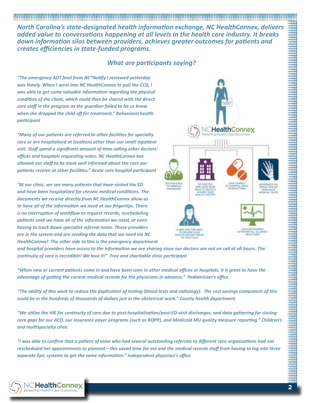*North Carolina's state-designated health information exchange, NC HealthConnex, delivers added value to conversations happening at all levels in the health care industry. It breaks down information silos between providers, achieves greater outcomes for patients and creates efficiencies in state-funded programs.*

#### *What are participants saying?*

*"The emergency ADT feed from NC\*Notify I reviewed yesterday was timely. When I went into NC HealthConnex to pull the CCD, I was able to get some valuable information regarding the physical condition of the client, which could then be shared with the direct care staff in the program as the guardian failed to let us know when she dropped the child off for treatment." Behavioral health participant*

*"Many of our patients are referred to other facilities for specialty care or are hospitalized at locations other than our small inpatient unit. Staff spend a significant amount of time calling other doctors' offices and hospitals requesting notes. NC HealthConnex has allowed our staff to be more well informed about the care our patients receive at other facilities." Acute care hospital participant*

*"At our clinic, we see many patients that have visited the ED and have been hospitalized for chronic medical conditions. The documents we receive directly from NC HealthConnex allow us to have all of the information we need at our fingertips. There is no interruption of workflow to request records, rescheduling patients until we have all of the information we need, or even having to track down specialist referral notes. Those providers are in the system and are sending the data that we need via NC HealthConnex! The other side to this is the emergency department* 



*and hospital providers have access to the information we are sharing since our doctors are not on call at all hours. The continuity of care is incredible! We love it!" Free and charitable clinic participant*

*"When new or current patients come in and have been seen in other medical offices or hospitals, it is great to have the advantage of getting the current medical records for the physicians in advance." Pediatrician's office*

*"The ability of this work to reduce the duplication of testing (blood tests and radiology). The cost savings component of this could be in the hundreds of thousands of dollars just in the obstetrical work." County health department*

*"We utilize the HIE for continuity of care due to post-hospitalization/post-ED-visit discharges, and data gathering for closing care gaps for our ACO, our insurance payer programs (such as BQPP), and Medicaid MU quality measure reporting." Children's and multispecialty clinic*

*"I was able to confirm that a patient of mine who had several outstanding referrals to different care organizations had not rescheduled her appointments as planned – this saved time for me and the medical records staff from having to log into three separate Epic systems to get the same information." Independent physician's office*

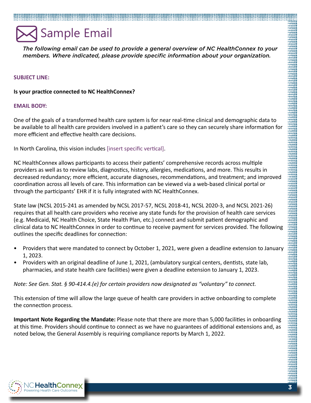## Sample Email

*The following email can be used to provide a general overview of NC HealthConnex to your members. Where indicated, please provide specific information about your organization.*

#### **SUBJECT LINE:**

**Is your practice connected to NC HealthConnex?**

#### **EMAIL BODY:**

One of the goals of a transformed health care system is for near real-time clinical and demographic data to be available to all health care providers involved in a patient's care so they can securely share information for more efficient and effective health care decisions.

In North Carolina, this vision includes [insert specific vertical].

NC HealthConnex allows participants to access their patients' comprehensive records across multiple providers as well as to review labs, diagnostics, history, allergies, medications, and more. This results in decreased redundancy; more efficient, accurate diagnoses, recommendations, and treatment; and improved coordination across all levels of care. This information can be viewed via a web-based clinical portal or through the participants' EHR if it is fully integrated with NC HealthConnex.

State law (NCSL 2015-241 as amended by NCSL 2017-57, NCSL 2018-41, NCSL 2020-3, and NCSL 2021-26) requires that all health care providers who receive any state funds for the provision of health care services (e.g. Medicaid, NC Health Choice, State Health Plan, etc.) connect and submit patient demographic and clinical data to NC HealthConnex in order to continue to receive payment for services provided. The following outlines the specific deadlines for connection:

- Providers that were mandated to connect by October 1, 2021, were given a deadline extension to January 1, 2023.
- Providers with an original deadline of June 1, 2021, (ambulatory surgical centers, dentists, state lab, pharmacies, and state health care facilities) were given a deadline extension to January 1, 2023.

*Note: See Gen. Stat. § 90-414.4.(e) for certain providers now designated as "voluntary" to connect.*

This extension of time will allow the large queue of health care providers in active onboarding to complete the connection process.

**Important Note Regarding the Mandate:** Please note that there are more than 5,000 facilities in onboarding at this time. Providers should continue to connect as we have no guarantees of additional extensions and, as noted below, the General Assembly is requiring compliance reports by March 1, 2022.

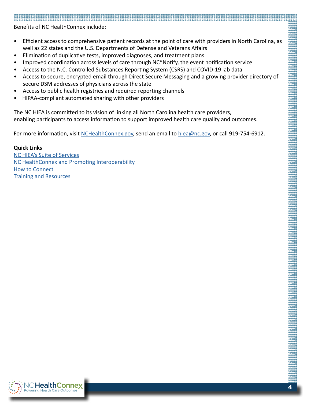Benefits of NC HealthConnex include:

- Efficient access to comprehensive patient records at the point of care with providers in North Carolina, as well as 22 states and the U.S. Departments of Defense and Veterans Affairs
- Elimination of duplicative tests, improved diagnoses, and treatment plans
- Improved coordination across levels of care through NC\*Notify, the event notification service
- Access to the N.C. Controlled Substances Reporting System (CSRS) and COVID-19 lab data
- Access to secure, encrypted email through Direct Secure Messaging and a growing provider directory of secure DSM addresses of physicians across the state
- Access to public health registries and required reporting channels
- HIPAA-compliant automated sharing with other providers

The NC HIEA is committed to its vision of linking all North Carolina health care providers, enabling participants to access information to support improved health care quality and outcomes.

For more information, visit [NCHealthConnex.gov,](https://hiea.nc.gov) send an email to [hiea@nc.gov](mailto:hiea%40nc.gov?subject=), or call 919-754-6912.

#### **Quick Links**

[NC HIEA's Suite of Services](https://hiea.nc.gov/services) [NC HealthConnex and Promoting Interoperability](https://hiea.nc.gov/services/promoting-interoperability) [How to Connect](https://hiea.nc.gov/providers/how-connect) [Training and Resources](https://hiea.nc.gov/providers/training-resources)

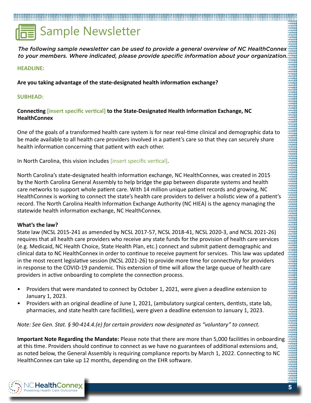### Sample Newsletter

*The following sample newsletter can be used to provide a general overview of NC HealthConnex to your members. Where indicated, please provide specific information about your organization.* 

#### **HEADLINE:**

**Are you taking advantage of the state-designated health information exchange?**

#### **SUBHEAD:**

#### **Connecting [insert specific vertical] to the State-Designated Health Information Exchange, NC HealthConnex**

One of the goals of a transformed health care system is for near real-time clinical and demographic data to be made available to all health care providers involved in a patient's care so that they can securely share health information concerning that patient with each other.

In North Carolina, this vision includes [insert specific vertical].

North Carolina's state-designated health information exchange, NC HealthConnex, was created in 2015 by the North Carolina General Assembly to help bridge the gap between disparate systems and health care networks to support whole patient care. With 14 million unique patient records and growing, NC HealthConnex is working to connect the state's health care providers to deliver a holistic view of a patient's record. The North Carolina Health Information Exchange Authority (NC HIEA) is the agency managing the statewide health information exchange, NC HealthConnex.

#### **What's the law?**

State law (NCSL 2015-241 as amended by NCSL 2017-57, NCSL 2018-41, NCSL 2020-3, and NCSL 2021-26) requires that all health care providers who receive any state funds for the provision of health care services (e.g. Medicaid, NC Health Choice, State Health Plan, etc.) connect and submit patient demographic and clinical data to NC HealthConnex in order to continue to receive payment for services. This law was updated in the most recent legislative session (NCSL 2021-26) to provide more time for connectivity for providers in response to the COVID-19 pandemic. This extension of time will allow the large queue of health care providers in active onboarding to complete the connection process.

- Providers that were mandated to connect by October 1, 2021, were given a deadline extension to January 1, 2023.
- Providers with an original deadline of June 1, 2021, (ambulatory surgical centers, dentists, state lab, pharmacies, and state health care facilities), were given a deadline extension to January 1, 2023.

*Note: See Gen. Stat. § 90-414.4.(e) for certain providers now designated as "voluntary" to connect.*

**Important Note Regarding the Mandate:** Please note that there are more than 5,000 facilities in onboarding at this time. Providers should continue to connect as we have no guarantees of additional extensions and, as noted below, the General Assembly is requiring compliance reports by March 1, 2022. Connecting to NC HealthConnex can take up 12 months, depending on the EHR software.

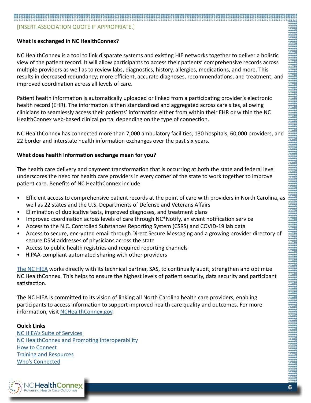# **[INSERT ASSOCIATION QUOTE IF APPROPRIATE.]**

#### **What is exchanged in NC HealthConnex?**

NC HealthConnex is a tool to link disparate systems and existing HIE networks together to deliver a holistic view of the patient record. It will allow participants to access their patients' comprehensive records across multiple providers as well as to review labs, diagnostics, history, allergies, medications, and more. This results in decreased redundancy; more efficient, accurate diagnoses, recommendations, and treatment; and improved coordination across all levels of care.

Patient health information is automatically uploaded or linked from a participating provider's electronic health record (EHR). The information is then standardized and aggregated across care sites, allowing clinicians to seamlessly access their patients' information either from within their EHR or within the NC HealthConnex web-based clinical portal depending on the type of connection.

NC HealthConnex has connected more than 7,000 ambulatory facilities, 130 hospitals, 60,000 providers, and 22 border and interstate health information exchanges over the past six years.

#### **What does health information exchange mean for you?**

The health care delivery and payment transformation that is occurring at both the state and federal level underscores the need for health care providers in every corner of the state to work together to improve patient care. Benefits of NC HealthConnex include:

- Efficient access to comprehensive patient records at the point of care with providers in North Carolina, as well as 22 states and the U.S. Departments of Defense and Veterans Affairs
- Elimination of duplicative tests, improved diagnoses, and treatment plans
- Improved coordination across levels of care through NC\*Notify, an event notification service
- Access to the N.C. Controlled Substances Reporting System (CSRS) and COVID-19 lab data
- Access to secure, encrypted email through Direct Secure Messaging and a growing provider directory of secure DSM addresses of physicians across the state
- Access to public health registries and required reporting channels
- HIPAA-compliant automated sharing with other providers

[The NC HIEA](https://hiea.nc.gov/about-us/about-nc-hiea) works directly with its technical partner, SAS, to continually audit, strengthen and optimize NC HealthConnex. This helps to ensure the highest levels of patient security, data security and participant satisfaction.

The NC HIEA is committed to its vision of linking all North Carolina health care providers, enabling participants to access information to support improved health care quality and outcomes. For more information, visit [NCHealthConnex.gov](https://hiea.nc.gov).

#### **Quick Links**

[NC HIEA's Suite of Services](https://hiea.nc.gov/services) [NC HealthConnex and Promoting Interoperability](https://hiea.nc.gov/services/promoting-interoperability) [How to Connect](https://hiea.nc.gov/providers/how-connect) [Training and Resources](https://hiea.nc.gov/providers/training-resources) [Who's Connected](https://hiea.nc.gov/patients/nc-healthconnex-participants)

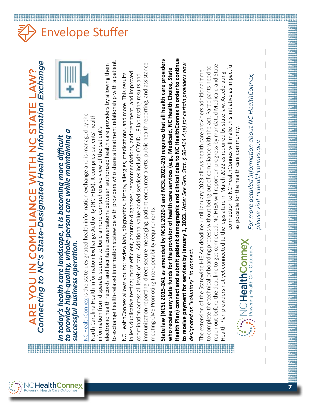# **ARE YOU IN COMPLIANCE WITH NC STATE LAW?**<br>Connecting to NC's State-Designated Health Information Exchange *Connecting to NC's State-Designated Health Information Exchange* ARE YOU IN COMPLIANCE WITH NC STATE LAW?

# *to provide high-quality, whole-person care while maintaining a*  to provide high-quality, whole-person care while maintaining a *In today's health care landscape, it is becoming more difficult*  In today's health care landscape, it is becoming more difficult *successful business operation.*  successful business operation.

**HealthConnex** 

to exchange health-related information statewide with providers who share a treatment relationship with a patient. to exchange health-related information statewide with providers who share a treatment relationship with a patient. electronic health records and facilitates conversations between authorized health care providers by allowing them electronic health records and facilitates conversations between authorized health care providers by allowing them NC HealthConnex is the state-designated health information exchange and is managed by the [NC HealthConnex](http://www.nchealthconnex.gov) is the state-designated health information exchange and is managed by the North Carolina Health Information Exchange Authority (NC HIEA). It compiles patients' health North Carolina Health Information Exchange Authority (NC HIEA). It compiles patients' health information from disparate sources to build a more comprehensive view of the patient's information from disparate sources to build a more comprehensive view of the patient's

immunization reporting, direct secure messaging, patient encounter alerts, public health reporting, and assistance immunization reporting, direct secure messaging, patient encounter alerts, public health reporting, and assistance in less duplicative testing; more efficient, accurate diagnoses, recommendations, and treatment; and improved in less duplicative testing; more efficient, accurate diagnoses, recommendations, and treatment; and improved NC HealthConnex allows you to: review labs, diagnostics, history, allergies, medications, and more. This results NC HealthConnex allows you to: review labs, diagnostics, history, allergies, medications, and more. This results coordination across all levels of care. Additional value-added services include COVID-19 lab testing results and coordination across all levels of care. Additional value-added services include COVID-19 lab testing results and meeting CMS Promoting Interoperability requirements. meeting CMS Promoting Interoperability requirements.

**Health Plan) connect and submit patient demographic and clinical data to NC HealthConnex in order to continue**  Health Plan) connect and submit patient demographic and clinical data to NC HealthConnex in order to continue **State law (NCSL 2015-241 as amended by NCSL 2020-3 and NCSL 2021-26) requires that all health care providers**  State law (NCSL 2015-241 as amended by NCSL 2020-3 and NCSL 2021-26) requires that all health care providers **to receive payment for services by January 1, 2023.** *Note: See Gen. Stat. § 90-414.4.(e) for certain providers now*  to receive payment for services by January 1, 2023. Note: See Gen. Stat. § 90-414.4.(e) for certain providers now **who receive any state funds for the provision of health care services (e.g., Medicaid, NC Health Choice, State**  who receive any state funds for the provision of health care services (e.g., Medicaid, NC Health Choice, State designated as "voluntary" to connect. *designated as "voluntary" to connect.*

reach out before the deadline to get connected. NC HIEA will report on progress by mandated Medicaid and State reach out before the deadline to get connected. NC HIEA will report on progress by mandated Medicaid and State connection to NC HealthConnex will make this initiative as impactful to complete the technical onboarding process without being out of compliance with the act. Participants need to to complete the technical onboarding process without being out of compliance with the act. Participants need to The extension of the Statewide HIE Act deadline until January 2023 allows health care providers additional time The extension of the Statewide HIE Act deadline until January 2023 allows health care providers additional time Health Plan providers not yet connected to the legislature in March 2022 as required by state law. Accelerating Health Plan providers not yet connected to the legislature in March 2022 as required by state law. Accelerating

**Buuo** Powering Health Care Outcomes **Duplee H** 

*For more detailed information about NC HealthConnex,*  For more detailed information about NC HealthConnex, please visit nchealthconnex.gov. *please visit nchealthconnex.gov.*

connection to NC HealthConnex will make this initiative as impactful

as possible for the health care community.

as possible for the health care community

**7**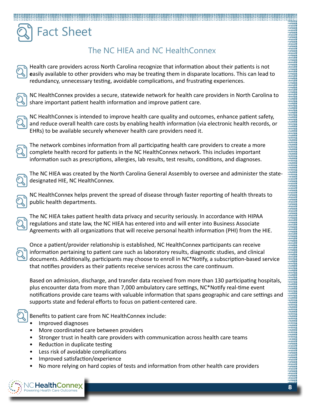# Fact Sheet

#### The NC HIEA and NC HealthConnex

Health care providers across North Carolina recognize that information about their patients is not **e**asily available to other providers who may be treating them in disparate locations. This can lead to redundancy, unnecessary testing, avoidable complications, and frustrating experiences.

NC HealthConnex provides a secure, statewide network for health care providers in North Carolina to share important patient health information and improve patient care.

NC HealthConnex is intended to improve health care quality and outcomes, enhance patient safety, and reduce overall health care costs by enabling health information (via electronic health records, or EHRs) to be available securely whenever health care providers need it.

The network combines information from all participating health care providers to create a more complete health record for patients in the NC HealthConnex network. This includes important information such as prescriptions, allergies, lab results, test results, conditions, and diagnoses.

The NC HIEA was created by the North Carolina General Assembly to oversee and administer the statedesignated HIE, NC HealthConnex.

NC HealthConnex helps prevent the spread of disease through faster reporting of health threats to public health departments.

The NC HIEA takes patient health data privacy and security seriously. In accordance with HIPAA regulations and state law, the NC HIEA has entered into and will enter into Business Associate Agreements with all organizations that will receive personal health information (PHI) from the HIE.

Once a patient/provider relationship is established, NC HealthConnex participants can receive information pertaining to patient care such as laboratory results, diagnostic studies, and clinical documents. Additionally, participants may choose to enroll in NC\*Notify, a subscription-based service that notifies providers as their patients receive services across the care continuum.

Based on admission, discharge, and transfer data received from more than 130 participating hospitals, plus encounter data from more than 7,000 ambulatory care settings, NC\*Notify real-time event notifications provide care teams with valuable information that spans geographic and care settings and supports state and federal efforts to focus on patient-centered care.

Benefits to patient care from NC HealthConnex include:

- Improved diagnoses
- More coordinated care between providers
- Stronger trust in health care providers with communication across health care teams
- Reduction in duplicate testing
- Less risk of avoidable complications
- Improved satisfaction/experience
- No more relying on hard copies of tests and information from other health care providers

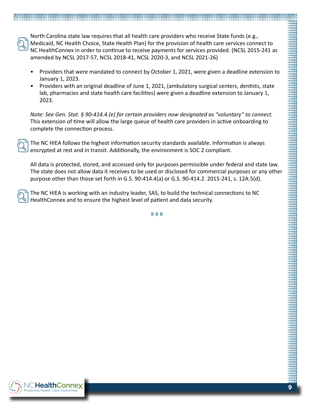North Carolina state law requires that all health care providers who receive State funds (e.g., Medicaid, NC Health Choice, State Health Plan) for the provision of health care services connect to NC HealthConnex in order to continue to receive payments for services provided. (NCSL 2015-241 as amended by NCSL 2017-57, NCSL 2018-41, NCSL 2020-3, and NCSL 2021-26)

- Providers that were mandated to connect by October 1, 2021, were given a deadline extension to January 1, 2023.
- Providers with an original deadline of June 1, 2021, (ambulatory surgical centers, dentists, state lab, pharmacies and state health care facilities) were given a deadline extension to January 1, 2023.

*Note: See Gen. Stat. § 90-414.4.(e) for certain providers now designated as "voluntary" to connect.* This extension of time will allow the large queue of health care providers in active onboarding to complete the connection process.

The NC HIEA follows the highest information security standards available. Information is always encrypted at rest and in transit. Additionally, the environment is SOC 2 compliant.

All data is protected, stored, and accessed only for purposes permissible under federal and state law. The state does not allow data it receives to be used or disclosed for commercial purposes or any other purpose other than those set forth in G.S. 90-414.4(a) or G.S. 90-414.2. 2015-241, s. 12A.5(d).

The NC HIEA is working with an industry leader, SAS, to build the technical connections to NC HealthConnex and to ensure the highest level of patient and data security.

**# # #** 

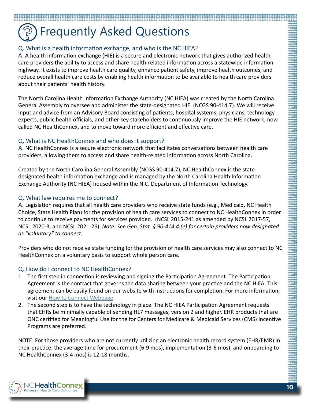### **) Frequently Asked Questions**

#### Q. What is a health information exchange, and who is the NC HIEA?

A. A health information exchange (HIE) is a secure and electronic network that gives authorized health care providers the ability to access and share health-related information across a statewide information highway. It exists to improve health care quality, enhance patient safety, improve health outcomes, and reduce overall health care costs by enabling health information to be available to health care providers about their patients' health history.

The North Carolina Health Information Exchange Authority (NC HIEA) was created by the North Carolina General Assembly to oversee and administer the state-designated HIE (NCGS 90-414.7). We will receive input and advice from an Advisory Board consisting of patients, hospital systems, physicians, technology experts, public health officials, and other key stakeholders to continuously improve the HIE network, now called NC HealthConnex, and to move toward more efficient and effective care.

#### Q. What is NC HealthConnex and who does it support?

A. NC HealthConnex is a secure electronic network that facilitates conversations between health care providers, allowing them to access and share health-related information across North Carolina.

Created by the North Carolina General Assembly (NCGS 90-414.7), NC HealthConnex is the statedesignated health information exchange and is managed by the North Carolina Health Information Exchange Authority (NC HIEA) housed within the N.C. Department of Information Technology.

#### Q. What law requires me to connect?

A. Legislation requires that all health care providers who receive state funds (e.g., Medicaid, NC Health Choice, State Health Plan) for the provision of health care services to connect to NC HealthConnex in order to continue to receive payments for services provided. (NCSL 2015-241 as amended by NCSL 2017-57, NCSL 2020-3, and NCSL 2021-26). *Note: See Gen. Stat. § 90-414.4.(e) for certain providers now designated as "voluntary" to connect.*

Providers who do not receive state funding for the provision of health care services may also connect to NC HealthConnex on a voluntary basis to support whole person care.

#### Q. How do I connect to NC HealthConnex?

- 1. The first step in connection is reviewing and signing the Participation Agreement. The Participation Agreement is the contract that governs the data sharing between your practice and the NC HIEA. This agreement can be easily found on our website with instructions for completion. For more information, visit our [How to Connect Webpage](https://hiea.nc.gov/providers/how-connect).
- 2. The second step is to have the technology in place. The NC HIEA Participation Agreement requests that EHRs be minimally capable of sending HL7 messages, version 2 and higher. EHR products that are ONC certified for Meaningful Use for the for Centers for Medicare & Medicaid Services (CMS) Incentive Programs are preferred.

NOTE: For those providers who are not currently utilizing an electronic health record system (EHR/EMR) in their practice, the average time for procurement (6-9 mos), implementation (3-6 mos), and onboarding to NC HealthConnex (3-4 mos) is 12-18 months.

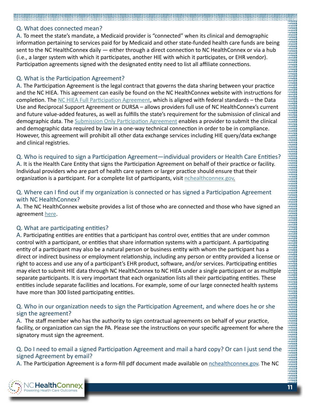#### Q. What does connected mean?

A. To meet the state's mandate, a Medicaid provider is "connected" when its clinical and demographic information pertaining to services paid for by Medicaid and other state-funded health care funds are being sent to the NC HealthConnex daily  $-$  either through a direct connection to NC HealthConnex or via a hub (i.e., a larger system with which it participates, another HIE with which it participates, or EHR vendor). Participation agreements signed with the designated entity need to list all affiliate connections.

#### Q. What is the Participation Agreement?

A. The Participation Agreement is the legal contract that governs the data sharing between your practice and the NC HIEA. This agreement can easily be found on the NC HealthConnex website with instructions for completion. The [NC HIEA Full Participation Agreement,](https://hiea.nc.gov/documents/nc-hiea-full-participation-agreement) which is aligned with federal standards – the Data Use and Reciprocal Support Agreement or DURSA – allows providers full use of NC HealthConnex's current and future value-added features, as well as fulfills the state's requirement for the submission of clinical and demographic data. The [Submission Only Participation Agreement](https://hiea.nc.gov/nc-hiea-submission-only-participation-agreement) enables a provider to submit the clinical and demographic data required by law in a one-way technical connection in order to be in compliance. However, this agreement will prohibit all other data exchange services including HIE query/data exchange and clinical registries.

#### Q. Who is required to sign a Participation Agreement—individual providers or Health Care Entities?

A. It is the Health Care Entity that signs the Participation Agreement on behalf of their practice or facility. Individual providers who are part of health care system or larger practice should ensure that their [o](https://hiea.nc.gov/)rganization is a participant. For a complete list of participants, visit [nchealthconnex.gov.](https://hiea.nc.gov/)

#### Q. Where can I find out if my organization is connected or has signed a Participation Agreement with NC HealthConnex?

A. The NC HealthConnex website provides a list of those who are connected and those who have signed an agreement [here](https://hiea.nc.gov/patients/nc-healthconnex-participant-map).

#### Q. What are participating entities?

A. Participating entities are entities that a participant has control over, entities that are under common control with a participant, or entities that share information systems with a participant. A participating entity of a participant may also be a natural person or business entity with whom the participant has a direct or indirect business or employment relationship, including any person or entity provided a license or right to access and use any of a participant's EHR product, software, and/or services. Participating entities may elect to submit HIE data through NC HealthConnex to NC HIEA under a single participant or as multiple separate participants. It is very important that each organization lists all their participating entities. These entities include separate facilities and locations. For example, some of our large connected health systems have more than 300 listed participating entities.

#### Q. Who in our organization needs to sign the Participation Agreement, and where does he or she sign the agreement?

A. The staff member who has the authority to sign contractual agreements on behalf of your practice, facility, or organization can sign the PA. Please see the instructions on your specific agreement for where the signatory must sign the agreement.

#### Q. Do I need to email a signed Participation Agreement and mail a hard copy? Or can I just send the signed Agreement by email?

A. The Participation Agreement is a form-fill pdf document made available on [nchealthconnex.gov](https://hiea.nc.gov/providers/how-connect/nc-healthconnex-participation-agreement). The NC

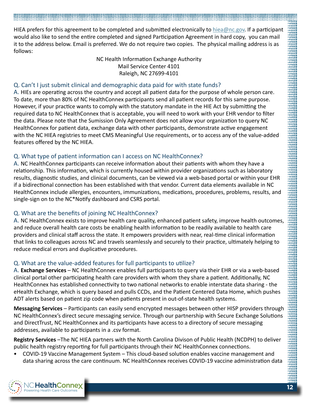#### HIEA prefers for this agreement to be completed and submitted electronically to [hiea@nc.gov](mailto:hiea%40nc.gov?subject=). If a participant would also like to send the entire completed and signed Participation Agreement in hard copy, you can mail it to the address below. Email is preferred. We do not require two copies. The physical mailing address is as follows:

NC Health Information Exchange Authority Mail Service Center 4101 Raleigh, NC 27699-4101

#### Q. Can't I just submit clinical and demographic data paid for with state funds?

A. HIEs are operating across the country and accept all patient data for the purpose of whole person care. To date, more than 80% of NC HealthConnex participants send all patient records for this same purpose. However, if your practice wants to comply with the statutory mandate in the HIE Act by submitting the required data to NC HealthConnex that is acceptable, you will need to work with your EHR vendor to filter the data. Please note that the Sumission Only Agreement does not allow your organization to query NC HealthConnex for patient data, exchange data with other participants, demonstrate active engagement with the NC HIEA registries to meet CMS Meaningful Use requirements, or to access any of the value-added features offered by the NC HIEA.

#### Q. What type of patient information can I access on NC HealthConnex?

A. NC HealthConnex participants can receive information about their patients with whom they have a relationship. This information, which is currently housed within provider organizations such as laboratory results, diagnostic studies, and clinical documents, can be viewed via a web-based portal or within your EHR if a bidirectional connection has been established with that vendor. Current data elements available in NC HealthConnex include allergies, encounters, immunizations, medications, procedures, problems, results, and single-sign on to the NC\*Notify dashboard and CSRS portal.

#### Q. What are the benefits of joining NC HealthConnex?

A. NC HealthConnex exists to improve health care quality, enhanced patient safety, improve health outcomes, and reduce overall health care costs be enabling health information to be readily available to health care providers and clinical staff across the state. It empowers providers with near, real-time clinical information that links to colleagues across NC and travels seamlessly and securely to their practice, ultimately helping to reduce medical errors and duplicative procedures.

#### Q. What are the value-added features for full participants to utilize?

A. **Exchange Services** – NC HealthConnex enables full participants to query via their EHR or via a web-based clinical portal other participating health care providers with whom they share a patient. Additionally, NC HealthConnex has established connectivity to two national networks to enable interstate data sharing - the eHealth Exchange, which is query based and pulls CCDs, and the Patient Centered Data Home, which pushes ADT alerts based on patient zip code when patients present in out-of-state health systems.

**Messaging Services** – Participants can easily send encrypted messages between other HISP providers through NC HealthConnex's direct secure messaging service. Through our partnership with Secure Exchange Solutions and DirectTrust, NC HealthConnex and its participants have access to a directory of secure messaging addresses, available to participants in a .csv format.

**Registry Services** –The NC HIEA partners with the North Carolina Divison of Public Health (NCDPH) to deliver public health registry reporting for full participants through their NC HealthConnex connections.

• COVID-19 Vaccine Management System – This cloud-based solution enables vaccine management and data sharing across the care continuum. NC HealthConnex receives COVID-19 vaccine administration data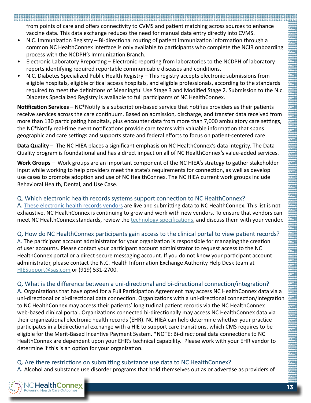from points of care and offers connectivity to CVMS and patient matching across sources to enhance vaccine data. This data exchange reduces the need for manual data entry directly into CVMS.

- N.C. Immunization Registry Bi-directional routing of patient immunization information through a common NC HealthConnex interface is only available to participants who complete the NCIR onboarding process with the NCDPH's Immunization Branch.
- Electronic Laboratory Rreporting Electronic reporting from laboratories to the NCDPH of laboratory reports identifying required reportable communicable diseases and conditions.
- N.C. Diabetes Specialized Public Health Registry This registry accepts electronic submissions from eligible hospitals, eligible critical access hospitals, and eligible professionals, according to the standards required to meet the definitions of Meaningful Use Stage 3 and Modified Stage 2. Submission to the N.c. Diabetes Specialized Registry is available to full participants of NC HealthConnex.

**Notification Services** – NC\*Notify is a subscription-based service that notifies providers as their patients receive services across the care continuum. Based on admission, discharge, and transfer data received from more than 130 participating hospitals, plus encounter data from more than 7,000 ambulatory care settings, the NC\*Notify real-time event notifications provide care teams with valuable information that spans geographic and care settings and supports state and federal efforts to focus on patient-centered care.

**Data Quality** – The NC HIEA places a significant emphasis on NC HealthConnex's data integrity. The Data Quality program is foundational and has a direct impact on all of NC HealthConnex's value-added services.

**Work Groups** – Work groups are an important component of the NC HIEA's strategy to gather stakeholder input while working to help providers meet the state's requirements for connection, as well as develop use cases to promote adoption and use of NC HealthConnex. The NC HIEA current work groups include Behavioral Health, Dental, and Use Case.

#### Q. Which electronic health records systems support connection to NC HealthConnex?

A. [These electronic health records vendors](https://hiea.nc.gov/providers/electronic-health-record-vendor-connectivity-report) are live and submitting data to NC HealthConnex. This list is not exhaustive. NC HealthConnex is continuing to grow and work with new vendors. To ensure that vendors can meet NC HealthConnex standards, review the **[technology specifications](https://hiea.nc.gov/nc-healthconnex-onboarding-packet-and-technical-specifications)**, and discuss them with your vendor.

#### Q. How do NC HealthConnex participants gain access to the clinical portal to view patient records?

A. The participant account administrator for your organization is responsible for managing the creation of user accounts. Please contact your participant account administrator to request access to the NC HealthConnex portal or a direct secure messaging account. If you do not know your participant account administrator, please contact the N.C. Health Information Exchange Authority Help Desk team at [HIESupport@sas.com](mailto:HIESupport%40sas.com?subject=) or (919) 531-2700.

#### Q. What is the difference between a uni-directional and bi-directional connection/integration?

A. Organizations that have opted for a Full Participation Agreement may access NC HealthConnex data via a uni-directional or bi-directional data connection. Organizations with a uni-directional connection/integration to NC HealthConnex may access their patients' longitudinal patient records via the NC HealthConnex web-based clinical portal. Organizations connected bi-directionally may access NC HealthConnex data via their organizational electronic health records (EHR). NC HIEA can help determine whether your practice participates in a bidirectional exchange with a HIE to support care transitions, which CMS requires to be eligible for the Merit-Based Incentive Payment System. \*NOTE: Bi-directional data connections to NC HealthConnex are dependent upon your EHR's technical capability. Please work with your EHR vendor to determine if this is an option for your organization.

#### Q. Are there restrictions on submitting substance use data to NC HealthConnex?

A. Alcohol and substance use disorder programs that hold themselves out as or advertise as providers of

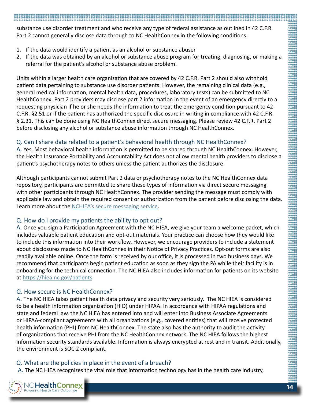substance use disorder treatment and who receive any type of federal assistance as outlined in 42 C.F.R. Part 2 cannot generally disclose data through to NC HealthConnex in the following conditions:

- 1. If the data would identify a patient as an alcohol or substance abuser
- 2. If the data was obtained by an alcohol or substance abuse program for treating, diagnosing, or making a referral for the patient's alcohol or substance abuse problem.

Units within a larger health care organization that are covered by 42 C.F.R. Part 2 should also withhold patient data pertaining to substance use disorder patients. However, the remaining clinical data (e.g., general medical information, mental health data, procedures, laboratory tests) can be submitted to NC HealthConnex. Part 2 providers may disclose part 2 information in the event of an emergency directly to a requesting physician if he or she needs the information to treat the emergency condition pursuant to 42 C.F.R. §2.51 or if the patient has authorized the specific disclosure in writing in compliance with 42 C.F.R. § 2.31. This can be done using NC HealthConnex direct secure messaging. Please review 42 C.F.R. Part 2 before disclosing any alcohol or substance abuse information through NC HealthConnex.

#### Q. Can I share data related to a patient's behavioral health through NC HealthConnex?

A. Yes. Most behavioral health information is permitted to be shared through NC HealthConnex. However, the Health Insurance Portability and Accountability Act does not allow mental health providers to disclose a patient's psychotherapy notes to others unless the patient authorizes the disclosure.

Although participants cannot submit Part 2 data or psychotherapy notes to the NC HealthConnex data repository, participants are permitted to share these types of information via direct secure messaging with other participants through NC HealthConnex. The provider sending the message must comply with applicable law and obtain the required consent or authorization from the patient before disclosing the data. Learn more about the [NCHIEA's secure messaging service.](https://hiea.nc.gov/services/direct-secure-messaging)

#### Q. How do I provide my patients the ability to opt out?

A. Once you sign a Participation Agreement with the NC HIEA, we give your team a welcome packet, which includes valuable patient education and opt-out materials. Your practice can choose how they would like to include this information into their workflow. However, we encourage providers to include a statement about disclosures made to NC HealthConnex in their Notice of Privacy Practices. Opt-out forms are also readily available online. Once the form is received by our office, it is processed in two business days. We recommend that participants begin patient education as soon as they sign the PA while their facility is in onboarding for the technical connection. The NC HIEA also includes information for patients on its website at [https://hiea.nc.gov/patients.](https://hiea.nc.gov/patients)

#### Q. How secure is NC HealthConnex?

A. The NC HIEA takes patient health data privacy and security very seriously. The NC HIEA is considered to be a health information organization (HIO) under HIPAA. In accordance with HIPAA regulations and state and federal law, the NC HIEA has entered into and will enter into Business Associate Agreements or HIPAA-compliant agreements with all organizations (e.g., covered entities) that will receive protected health information (PHI) from NC HealthConnex. The state also has the authority to audit the activity of organizations that receive PHI from the NC HealthConnex network. The NC HIEA follows the highest information security standards available. Information is always encrypted at rest and in transit. Additionally, the environment is SOC 2 compliant.

#### Q. What are the policies in place in the event of a breach?

A. The NC HIEA recognizes the vital role that information technology has in the health care industry,

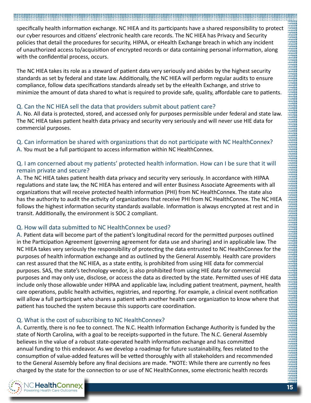specifically health information exchange. NC HIEA and its participants have a shared responsibility to protect our cyber resources and citizens' electronic health care records. The NC HIEA has Privacy and Security policies that detail the procedures for security, HIPAA, or eHealth Exchange breach in which any incident of unauthorized access to/acquisition of encrypted records or data containing personal information, along with the confidential process, occurs.

The NC HIEA takes its role as a steward of patient data very seriously and abides by the highest security standards as set by federal and state law. Additionally, the NC HIEA will perform regular audits to ensure compliance, follow data specifications standards already set by the eHealth Exchange, and strive to minimize the amount of data shared to what is required to provide safe, quality, affordable care to patients.

#### Q. Can the NC HIEA sell the data that providers submit about patient care?

A. No. All data is protected, stored, and accessed only for purposes permissible under federal and state law. The NC HIEA takes patient health data privacy and security very seriously and will never use HIE data for commercial purposes.

Q. Can information be shared with organizations that do not participate with NC HealthConnex? A. You must be a full participant to access information within NC HealthConnex.

#### Q. I am concerned about my patients' protected health information. How can I be sure that it will remain private and secure?

A. The NC HIEA takes patient health data privacy and security very seriously. In accordance with HIPAA regulations and state law, the NC HIEA has entered and will enter Business Associate Agreements with all organizations that will receive protected health information (PHI) from NC HealthConnex. The state also has the authority to audit the activity of organizations that receive PHI from NC HealthConnex. The NC HIEA follows the highest information security standards available. Information is always encrypted at rest and in transit. Additionally, the environment is SOC 2 compliant.

#### Q. How will data submitted to NC HealthConnex be used?

A. Patient data will become part of the patient's longitudinal record for the permitted purposes outlined in the Participation Agreement (governing agreement for data use and sharing) and in applicable law. The NC HIEA takes very seriously the responsibility of protecting the data entrusted to NC HealthConnex for the purposes of health information exchange and as outlined by the General Assembly. Health care providers can rest assured that the NC HIEA, as a state entity, is prohibited from using HIE data for commercial purposes. SAS, the state's technology vendor, is also prohibited from using HIE data for commercial purposes and may only use, disclose, or access the data as directed by the state. Permitted uses of HIE data include only those allowable under HIPAA and applicable law, including patient treatment, payment, health care operations, public health activities, registries, and reporting. For example, a clinical event notification will allow a full participant who shares a patient with another health care organization to know where that patient has touched the system because this supports care coordination.

#### Q. What is the cost of subscribing to NC HealthConnex?

A. Currently, there is no fee to connect. The N.C. Health Information Exchange Authority is funded by the state of North Carolina, with a goal to be receipts-supported in the future. The N.C. General Assembly believes in the value of a robust state-operated health information exchange and has committed annual funding to this endeavor. As we develop a roadmap for future sustainability, fees related to the consumption of value-added features will be vetted thoroughly with all stakeholders and recommended to the General Assembly before any final decisions are made. \*NOTE: While there are currently no fees charged by the state for the connection to or use of NC HealthConnex, some electronic health records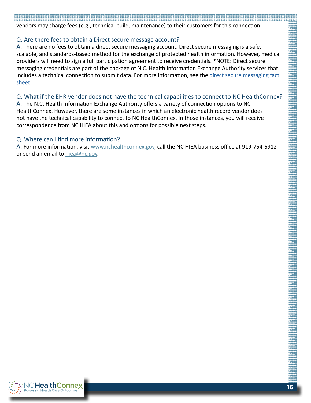vendors may charge fees (e.g., technical build, maintenance) to their customers for this connection.

#### Q. Are there fees to obtain a Direct secure message account?

A. There are no fees to obtain a direct secure messaging account. Direct secure messaging is a safe, scalable, and standards-based method for the exchange of protected health information. However, medical providers will need to sign a full participation agreement to receive credentials. \*NOTE: Direct secure messaging credentials are part of the package of N.C. Health Information Exchange Authority services that includes a technical connection to submit data. For more information, see the direct secure messaging fact [sheet](https://hiea.nc.gov/direct-secure-messaging-fact-sheet/download?attachment).

#### Q. What if the EHR vendor does not have the technical capabilities to connect to NC HealthConnex?

A. The N.C. Health Information Exchange Authority offers a variety of connection options to NC HealthConnex. However, there are some instances in which an electronic health record vendor does not have the technical capability to connect to NC HealthConnex. In those instances, you will receive correspondence from NC HIEA about this and options for possible next steps.

#### Q. Where can I find more information?

A. For more information, visit [www.nchealthconnex.gov,](https://hiea.nc.gov) call the NC HIEA business office at 919-754-6912 or send an email to [hiea@nc.gov](mailto:hiea%40nc.gov?subject=).

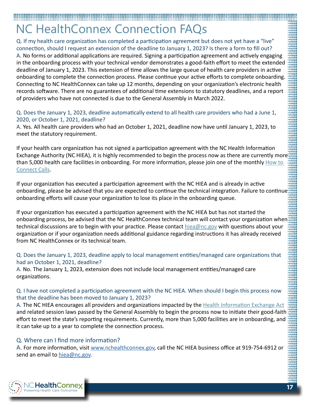# NC HealthConnex Connection FAQs

Q. If my health care organization has completed a participation agreement but does not yet have a "live" connection, should I request an extension of the deadline to January 1, 2023? Is there a form to fill out? A. No forms or additional applications are required. Signing a participation agreement and actively engaging in the onboarding process with your technical vendor demonstrates a good-faith effort to meet the extended deadline of January 1, 2023. This extension of time allows the large queue of health care providers in active onboarding to complete the connection process. Please continue your active efforts to complete onboarding. Connecting to NC HealthConnex can take up 12 months, depending on your organization's electronic health records software. There are no guarantees of additional time extensions to statutory deadlines, and a report of providers who have not connected is due to the General Assembly in March 2022.

#### Q. Does the January 1, 2023, deadline automatically extend to all health care providers who had a June 1, 2020, or October 1, 2021, deadline?

A. Yes. All health care providers who had an October 1, 2021, deadline now have until January 1, 2023, to meet the statutory requirement.

If your health care organization has not signed a participation agreement with the NC Health Information Exchange Authority (NC HIEA), it is highly recommended to begin the process now as there are currently more than 5,000 health care facilities in onboarding. For more information, please join one of the monthly [How to](https://hiea.nc.gov/providers/how-connect)  [Connect Calls.](https://hiea.nc.gov/providers/how-connect)

If your organization has executed a participation agreement with the NC HIEA and is already in active onboarding, please be advised that you are expected to continue the technical integration. Failure to continue onboarding efforts will cause your organization to lose its place in the onboarding queue.

If your organization has executed a participation agreement with the NC HIEA but has not started the onboarding process, be advised that the NC HealthConnex technical team will contact your organization when technical discussions are to begin with your practice. Please contact [hiea@nc.gov](mailto:hiea%40nc.gov?subject=) with questions about your organization or if your organization needs additional guidance regarding instructions it has already received from NC HealthConnex or its technical team.

#### Q. Does the January 1, 2023, deadline apply to local management entities/managed care organizations that had an October 1, 2021, deadline?

A. No. The January 1, 2023, extension does not include local management entities/managed care organizations.

#### Q. I have not completed a participation agreement with the NC HIEA. When should I begin this process now that the deadline has been moved to January 1, 2023?

A. The NC HIEA encourages all providers and organizations impacted by the [Health Information Exchange Act](https://www.ncleg.gov/EnactedLegislation/SessionLaws/PDF/2019-2020/SL2019-23.pdf) and related session laws passed by the General Assembly to begin the process now to initiate their good-faith effort to meet the state's reporting requirements. Currently, more than 5,000 facilities are in onboarding, and it can take up to a year to complete the connection process.

#### Q. Where can I find more information?

A. For more information, visit [www.nchealthconnex.gov,](https://hiea.nc.gov) call the NC HIEA business office at 919-754-6912 or send an email to [hiea@nc.gov.](mailto:hiea%40nc.gov?subject=)

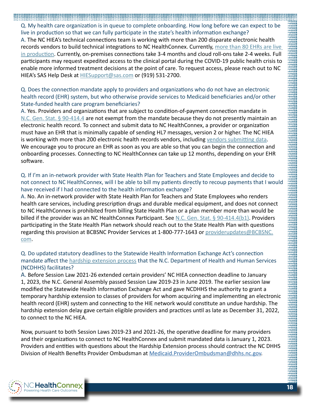Q. My health care organization is in queue to complete onboarding. How long before we can expect to be live in production so that we can fully participate in the state's health information exchange? A. The NC HIEA's technical connections team is working with more than 200 disparate electronic health records vendors to build technical integrations to NC HealthConnex. Currently, more than 80 EHRs are live [in production](https://hiea.nc.gov/providers/electronic-health-record-vendor-connectivity-report). Currently, on-premises connections take 3-4 months and cloud roll-ons take 2-4 weeks. Full participants may request expedited access to the clinical portal during the COVID-19 public health crisis to enable more informed treatment decisions at the point of care. To request access, please reach out to NC HIEA's SAS Help Desk at **HIESupport@sas.com** or (919) 531-2700.

#### Q. Does the connection mandate apply to providers and organizations who do not have an electronic health record (EHR) system, but who otherwise provide services to Medicaid beneficiaries and/or other State-funded health care program beneficiaries?

A. Yes. Providers and organizations that are subject to condition-of-payment connection mandate in [N.C. Gen. Stat. § 90-414.4](https://www.ncleg.gov/EnactedLegislation/Statutes/PDF/BySection/Chapter_90/GS_90-414.4.pdf) are not exempt from the mandate because they do not presently maintain an electronic health record. To connect and submit data to NC HealthConnex, a provider or organization must have an EHR that is minimally capable of sending HL7 messages, version 2 or higher. The NC HIEA is working with more than 200 electronic health records vendors, including [vendors submitting data](https://hiea.nc.gov/providers/electronic-health-record-vendor-connectivity-report). We encourage you to procure an EHR as soon as you are able so that you can begin the connection and onboarding processes. Connecting to NC HealthConnex can take up 12 months, depending on your EHR software.

#### Q. If I'm an in-network provider with State Health Plan for Teachers and State Employees and decide to not connect to NC HealthConnex, will I be able to bill my patients directly to recoup payments that I would have received if I had connected to the health information exchange?

A. No. An in-network provider with State Health Plan for Teachers and State Employees who renders health care services, including prescription drugs and durable medical equipment, and does not connect to NC HealthConnex is prohibited from billing State Health Plan or a plan member more than would be billed if the provider was an NC HealthConnex Participant. See [N.C. Gen. Stat. § 90-414.4\(b1\)](https://www.ncleg.gov/EnactedLegislation/Statutes/PDF/BySection/Chapter_90/GS_90-414.4.pdf). Providers participating in the State Health Plan network should reach out to the State Health Plan with questions regarding this provision at BCBSNC Provider Services at 1-800-777-1643 or [providerupdates@BCBSNC.](mailto:providerupdates%40BCBSNC.com?subject=) [com.](mailto:providerupdates%40BCBSNC.com?subject=)

#### Q. Do updated statutory deadlines to the Statewide Health Information Exchange Act's connection mandate affect the [hardship extension process](https://medicaid.ncdhhs.gov/blog/2020/11/17/legislation-gives-certain-providers-more-time-connect-nc-healthconnex) that the N.C. Department of Health and Human Services (NCDHHS) facilitates?

A. Before Session Law 2021-26 extended certain providers' NC HIEA connection deadline to January 1, 2023, the N.C. General Assembly passed Session Law 2019-23 in June 2019. The earlier session law modified the Statewide Health Information Exchange Act and gave NCDHHS the authority to grant a temporary hardship extension to classes of providers for whom acquiring and implementing an electronic health record (EHR) system and connecting to the HIE network would constitute an undue hardship. The hardship extension delay gave certain eligible providers and practices until as late as December 31, 2022, to connect to the NC HIEA.

Now, pursuant to both Session Laws 2019-23 and 2021-26, the operative deadline for many providers and their organizations to connect to NC HealthConnex and submit mandated data is January 1, 2023. Providers and entities with questions about the Hardship Extension process should contract the NC DHHS Division of Health Benefits Provider Ombudsman at [Medicaid.ProviderOmbudsman@dhhs.nc.gov](mailto:Medicaid.ProviderOmbudsman%40dhhs.nc.gov?subject=).

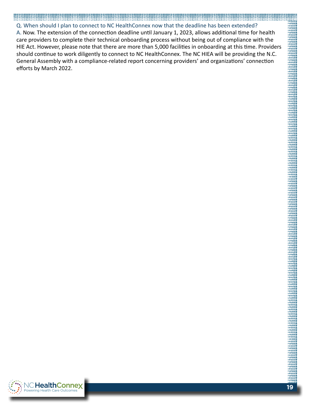#### Q. When should I plan to connect to NC HealthConnex now that the deadline has been extended? A. Now. The extension of the connection deadline until January 1, 2023, allows additional time for health care providers to complete their technical onboarding process without being out of compliance with the HIE Act. However, please note that there are more than 5,000 facilities in onboarding at this time. Providers should continue to work diligently to connect to NC HealthConnex. The NC HIEA will be providing the N.C. General Assembly with a compliance-related report concerning providers' and organizations' connection efforts by March 2022.

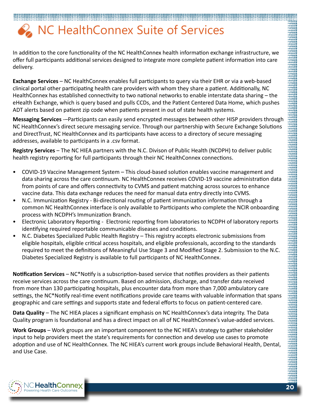NC HealthConnex Suite of Services

In addition to the core functionality of the NC HealthConnex health information exchange infrastructure, we offer full participants additional services designed to integrate more complete patient information into care delivery.

**Exchange Services** – NC HealthConnex enables full participants to query via their EHR or via a web-based clinical portal other participating health care providers with whom they share a patient. Additionally, NC HealthConnex has established connectivity to two national networks to enable interstate data sharing – the eHealth Exchange, which is query based and pulls CCDs, and the Patient Centered Data Home, which pushes ADT alerts based on patient zip code when patients present in out of state health systems.

**Messaging Services** -–Participants can easily send encrypted messages between other HISP providers through NC HealthConnex's direct secure messaging service. Through our partnership with Secure Exchange Solutions and DirectTrust, NC HealthConnex and its participants have access to a directory of secure messaging addresses, available to participants in a .csv format.

**Registry Services** – The NC HIEA partners with the N.C. Divison of Public Health (NCDPH) to deliver public health registry reporting for full participants through their NC HealthConnex connections.

- COVID-19 Vaccine Management System This cloud-based solution enables vaccine management and data sharing across the care continuum. NC HealthConnex receives COVID-19 vaccine administration data from points of care and offers connectivity to CVMS and patient matching across sources to enhance vaccine data. This data exchange reduces the need for manual data entry directly into CVMS.
- N.C. Immunization Registry Bi-directional routing of patient immunization information through a common NC HealthConnex interface is only available to Participants who complete the NCIR onboarding process with NCDPH's Immunization Branch.
- Electronic Laboratory Reporting Electronic reporting from laboratories to NCDPH of laboratory reports identifying required reportable communicable diseases and conditions.
- N.C. Diabetes Specialized Public Health Registry This registry accepts electronic submissions from eligible hospitals, eligible critical access hospitals, and eligible professionals, according to the standards required to meet the definitions of Meaningful Use Stage 3 and Modified Stage 2. Submission to the N.C. Diabetes Specialized Registry is available to full participants of NC HealthConnex.

**Notification Services** – NC\*Notify is a subscription-based service that notifies providers as their patients receive services across the care continuum. Based on admission, discharge, and transfer data received from more than 130 participating hospitals, plus encounter data from more than 7,000 ambulatory care settings, the NC\*Notify real-time event notifications provide care teams with valuable information that spans geographic and care settings and supports state and federal efforts to focus on patient-centered care.

**Data Quality** – The NC HIEA places a significant emphasis on NC HealthConnex's data integrity. The Data Quality program is foundational and has a direct impact on all of NC HealthConnex's value-added services.

Work Groups – Work groups are an important component to the NC HIEA's strategy to gather stakeholder input to help providers meet the state's requirements for connection and develop use cases to promote adoption and use of NC HealthConnex. The NC HIEA's current work groups include Behavioral Health, Dental, and Use Case.

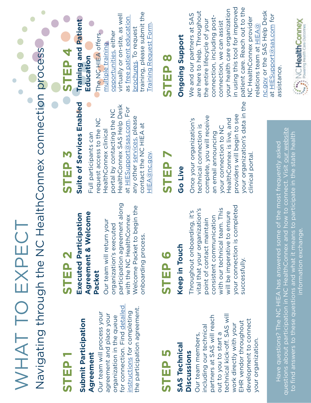# WHAT TO EXPECT WHAT TO EXPECT

Navigating through the NC HealthConnex connection process Navigating through the NC HealthConnex connection process

# **STEP 1**

# **Submit Participation Submit Participation** Agreement **Agreement**

for connection. Find detailed for connection. Find detailed the participation agreement. the participation agreement. instructions for completing Our team will process your nstructions for completing Our team will process your agreement and place your agreement and place your organization in the queue organization in the queue

# **STEP 5**

### **SAS Technical SAS Technical Discussions Discussions**

technical kick-off . SAS will technical kick-off. SAS will partners at SAS will reach partners at SAS will reach development to connect development to connect EHR vendor throughout EHR vendor throughout work directly with your including our technical work directly with your ncluding our technical out to you to start a Our team members, out to you to start a Our team members, your organization. your organization.

# **STEP 2**

# **Agreement & Welcome Executed Participation**  Agreement & Welcome Executed Participation **Packet**

participation agreement along participation agreement along Welcome Packet to begin the Welcome Packet to begin the with the NC HealthConnex with the NC HealthConnex Our team will return your Our team will return your organization's executed organization's executed onboarding process. onboarding process

# **Keep in Touch Keep in Touch STEP 6**

#### your connection is completed your connection is completed with our technical team. This vital that your organization's vital that your organization's with our technical team. This Throughout onboarding, it's Throughout onboarding, it's will be imperative to ensure will be imperative to ensure consistent communication consistent communication point of contact maintain point of contact maintain successfully. successfully.

# Suite of Services Enabled **Suite of Services Enabled STEP 3**

HealthConnex SAS Help Desk HealthConnex SAS Help Desk at HIESupport@sas.com. For at HIESupport@sas.com. For portal by contacting the NC portal by contacting the NC any other services, please any other services, please request access to the NC equest access to the NC contact the NC HIEA at contact the NC HIEA at HealthConnex clinical Health Connex clinical Full participants can Full participants can

# **STEP 7 Go Live**

HIEA@nc.gov.

HIEA@nc.gov

your organization's data in the /our organization's data in the providers will begin to see providers will begin to see complete, you will receive complete, you will receive HealthConnex is live, and Once your organization's Once your organization's HealthConnex is live, and technical connection is technical connection is your connection to NC your connection to NC an email announcing an email announcing clinical portal. clinical portal

# **Training and Patient Training and Patient STEP 4 Education**  Education

training, please submit the training, please submit the virtually or on-site, as well virtually or on-site, as well as free patient education as free patient education Training Request Form. **Training Request Form** brochures. To request brochures. To request opportunities, either The NC HIEA offers opportunities, either The NC HIEA offers multiple training multiple training

# **STEP 8**

# **Ongoing Support Ongoing Support**

in using this tool for improved patient care. Reach out to the n using this tool for improved your health care organization patient care. Reach out to the your health care organization are here to help. Throughout nc.gov or the SAS Help Desk are here to help. Throughout nc.gov or the SAS Help Desk We and our partners at SAS We and our partners at SAS at HIESupport@sas.com for at HIESupport@sas.com for connection, including post-NC HealthConnex provider connection, including postthe entire lifecycle of your **NC HealthConnex provider** the entire lifecycle of your connection, we can assist connection, we can assist elations team at  $HIEA@$ relations team at HIEA@ assistance.



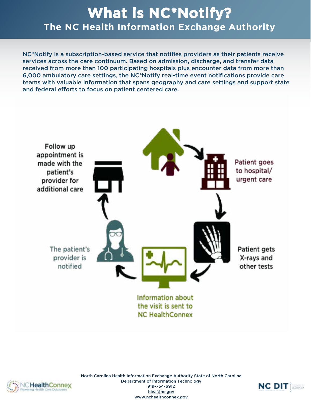### **What is NC\*Notify? The NC Health Information Exchange Authority**

NC\*Notify is a subscription-based service that notifies providers as their patients receive services across the care continuum. Based on admission, discharge, and transfer data received from more than 100 participating hospitals plus encounter data from more than 6,000 ambulatory care settings, the NC\*Notify real-time event notifications provide care teams with valuable information that spans geography and care settings and support state and federal efforts to focus on patient centered care.





North Carolina Health Information Exchange Authority State of North Carolina Department of Information Technology 919-754-6912 hiea@nc.gov www.nchealthconnex.gov

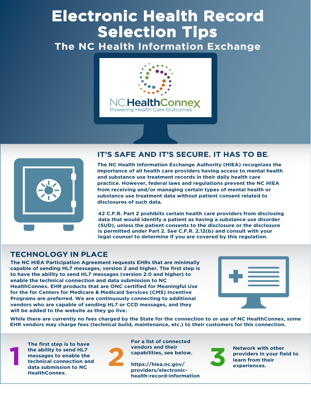## **Electronic Health Record Selection Tips**

**The NC Health Information Exchange** 





#### **IT'S SAFE AND IT'S SECURE. IT HAS TO BE.**

**The NC Health Information Exchange Authority (HIEA) recognizes the importance of all health care providers having access to mental health and substance use treatment records in their daily health care practice. However, federal laws and regulations prevent the NC HIEA from receiving and/or managing certain types of mental health or substance use treatment data without patient consent related to disclosures of such data.** 

**42 C.F.R. Part 2 prohibits certain health care providers from disclosing data that would identify a patient as having a substance use disorder (SUD), unless the patient consents to the disclosure or the disclosure is permitted under Part 2. See C.F.R. 2.12(b) and consult with your legal counsel to determine if you are covered by this regulation.**

#### **TECHNOLOGY IN PLACE**

**The NC HIEA Participation Agreement requests EHRs that are minimally capable of sending HL7 messages, version 2 and higher. The first step is to have the ability to send HL7 messages (version 2.0 and higher) to enable the technical connection and data submission to NC HealthConnex. EHR products that are ONC certified for Meaningful Use for the for Centers for Medicare & Medicaid Services (CMS) Incentive Programs are preferred. We are continuously connecting to additional vendors who are capable of sending HL7 or CCD messages, and they will be added to the website as they go live.**

**While there are currently no fees charged by the State for the connection to or use of NC HealthConnex, some EHR vendors may charge fees (technical build, maintenance, etc.) to their customers for this connection.**

**The first step is to have the ability to send HL7 messages to enable the technical connection and data submission to NC HealthConnex.**

**1**



**For a list of connected vendors and their capabilities, see below.** 

**https://hiea.nc.gov/ providers/electronichealth-record-information**



**3 Network with other providers in your fields and the learn from their experiences. providers in your field to learn from their experiences.**